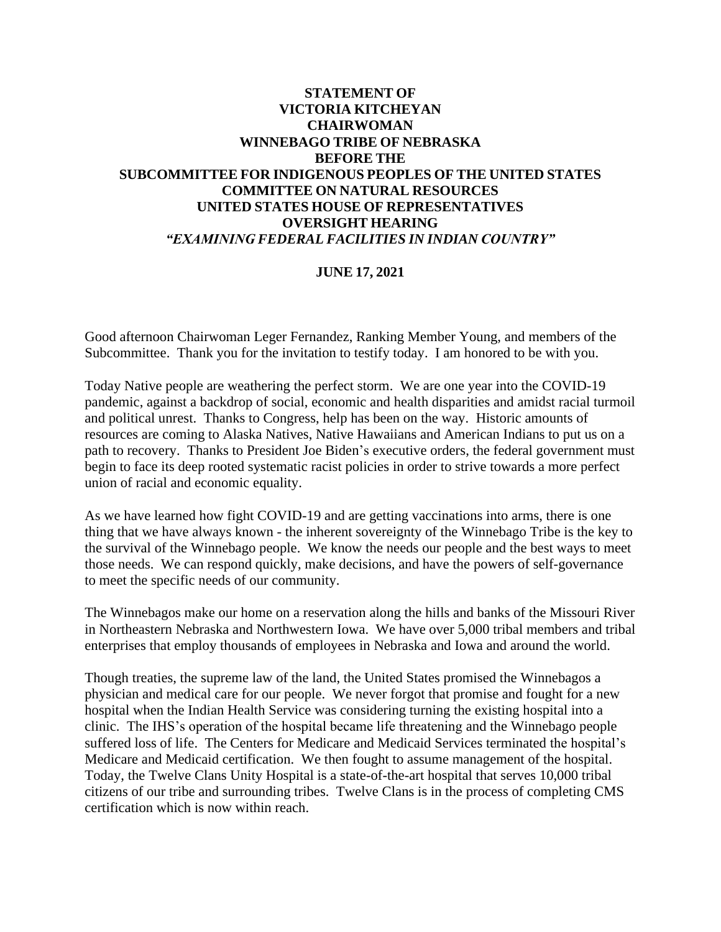## **STATEMENT OF VICTORIA KITCHEYAN CHAIRWOMAN WINNEBAGO TRIBE OF NEBRASKA BEFORE THE SUBCOMMITTEE FOR INDIGENOUS PEOPLES OF THE UNITED STATES COMMITTEE ON NATURAL RESOURCES UNITED STATES HOUSE OF REPRESENTATIVES OVERSIGHT HEARING** *"EXAMINING FEDERAL FACILITIES IN INDIAN COUNTRY"*

## **JUNE 17, 2021**

Good afternoon Chairwoman Leger Fernandez, Ranking Member Young, and members of the Subcommittee. Thank you for the invitation to testify today. I am honored to be with you.

Today Native people are weathering the perfect storm. We are one year into the COVID-19 pandemic, against a backdrop of social, economic and health disparities and amidst racial turmoil and political unrest. Thanks to Congress, help has been on the way. Historic amounts of resources are coming to Alaska Natives, Native Hawaiians and American Indians to put us on a path to recovery. Thanks to President Joe Biden's executive orders, the federal government must begin to face its deep rooted systematic racist policies in order to strive towards a more perfect union of racial and economic equality.

As we have learned how fight COVID-19 and are getting vaccinations into arms, there is one thing that we have always known - the inherent sovereignty of the Winnebago Tribe is the key to the survival of the Winnebago people. We know the needs our people and the best ways to meet those needs. We can respond quickly, make decisions, and have the powers of self-governance to meet the specific needs of our community.

The Winnebagos make our home on a reservation along the hills and banks of the Missouri River in Northeastern Nebraska and Northwestern Iowa. We have over 5,000 tribal members and tribal enterprises that employ thousands of employees in Nebraska and Iowa and around the world.

Though treaties, the supreme law of the land, the United States promised the Winnebagos a physician and medical care for our people. We never forgot that promise and fought for a new hospital when the Indian Health Service was considering turning the existing hospital into a clinic. The IHS's operation of the hospital became life threatening and the Winnebago people suffered loss of life. The Centers for Medicare and Medicaid Services terminated the hospital's Medicare and Medicaid certification. We then fought to assume management of the hospital. Today, the Twelve Clans Unity Hospital is a state-of-the-art hospital that serves 10,000 tribal citizens of our tribe and surrounding tribes. Twelve Clans is in the process of completing CMS certification which is now within reach.